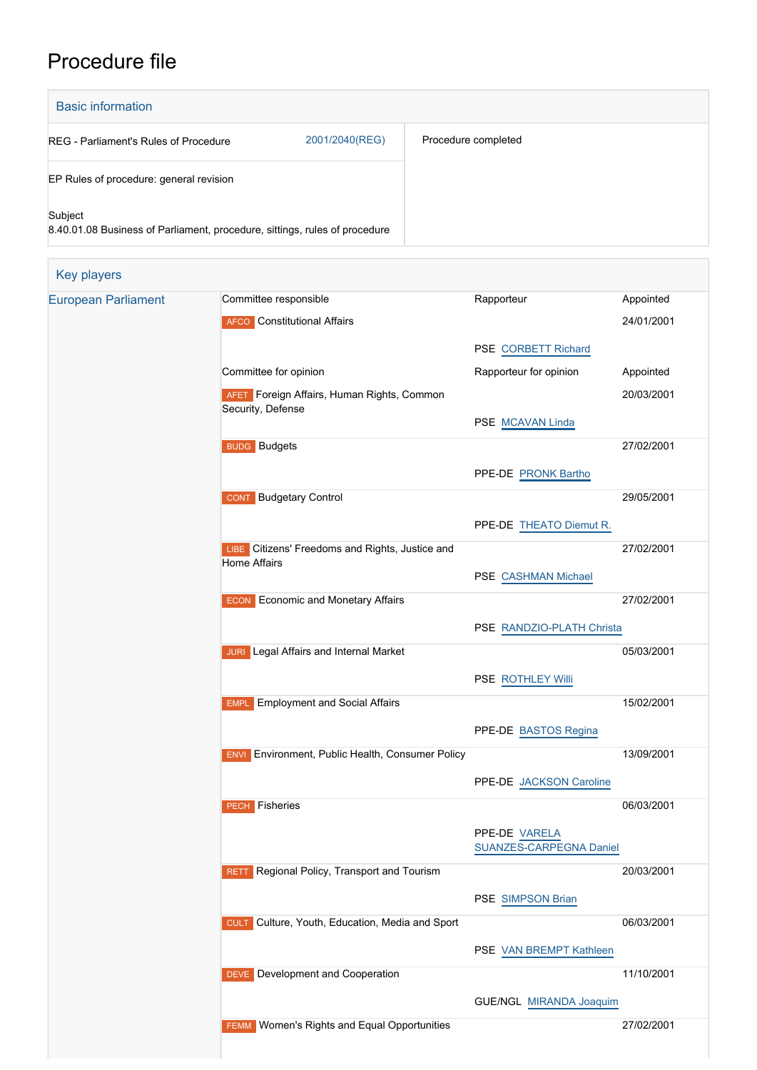# Procedure file

| <b>Basic information</b>                                                              |                |                     |  |  |  |  |
|---------------------------------------------------------------------------------------|----------------|---------------------|--|--|--|--|
| REG - Parliament's Rules of Procedure                                                 | 2001/2040(REG) | Procedure completed |  |  |  |  |
| EP Rules of procedure: general revision                                               |                |                     |  |  |  |  |
| Subject<br>8.40.01.08 Business of Parliament, procedure, sittings, rules of procedure |                |                     |  |  |  |  |

| Key players                |                                                                           |                                                 |            |
|----------------------------|---------------------------------------------------------------------------|-------------------------------------------------|------------|
| <b>European Parliament</b> | Committee responsible                                                     | Rapporteur                                      | Appointed  |
|                            | <b>AFCO</b> Constitutional Affairs                                        |                                                 | 24/01/2001 |
|                            |                                                                           | PSE CORBETT Richard                             |            |
|                            | Committee for opinion                                                     | Rapporteur for opinion                          | Appointed  |
|                            | AFET Foreign Affairs, Human Rights, Common<br>Security, Defense           |                                                 | 20/03/2001 |
|                            |                                                                           | PSE MCAVAN Linda                                |            |
|                            | <b>BUDG</b> Budgets                                                       |                                                 | 27/02/2001 |
|                            |                                                                           | PPE-DE PRONK Bartho                             |            |
|                            | <b>Budgetary Control</b><br><b>CONT</b>                                   |                                                 | 29/05/2001 |
|                            |                                                                           | PPE-DE THEATO Diemut R.                         |            |
|                            | Citizens' Freedoms and Rights, Justice and<br>LIBE<br><b>Home Affairs</b> |                                                 | 27/02/2001 |
|                            |                                                                           | PSE CASHMAN Michael                             |            |
|                            | <b>ECON</b> Economic and Monetary Affairs                                 |                                                 | 27/02/2001 |
|                            |                                                                           | PSE RANDZIO-PLATH Christa                       |            |
|                            | <b>JURI</b> Legal Affairs and Internal Market                             |                                                 | 05/03/2001 |
|                            |                                                                           | PSE ROTHLEY Willi                               |            |
|                            | <b>Employment and Social Affairs</b><br><b>EMPL</b>                       |                                                 | 15/02/2001 |
|                            |                                                                           | PPE-DE BASTOS Regina                            |            |
|                            | Environment, Public Health, Consumer Policy<br><b>ENVI</b>                |                                                 | 13/09/2001 |
|                            |                                                                           | PPE-DE JACKSON Caroline                         |            |
|                            | Fisheries<br><b>PECH</b>                                                  |                                                 | 06/03/2001 |
|                            |                                                                           | PPE-DE VARELA<br><b>SUANZES-CARPEGNA Daniel</b> |            |
|                            | Regional Policy, Transport and Tourism<br><b>RETT</b>                     |                                                 | 20/03/2001 |
|                            |                                                                           | PSE SIMPSON Brian                               |            |
|                            | Culture, Youth, Education, Media and Sport<br><b>CULT</b>                 |                                                 | 06/03/2001 |
|                            |                                                                           | PSE VAN BREMPT Kathleen                         |            |
|                            | DEVE Development and Cooperation                                          |                                                 | 11/10/2001 |
|                            |                                                                           | GUE/NGL MIRANDA Joaquim                         |            |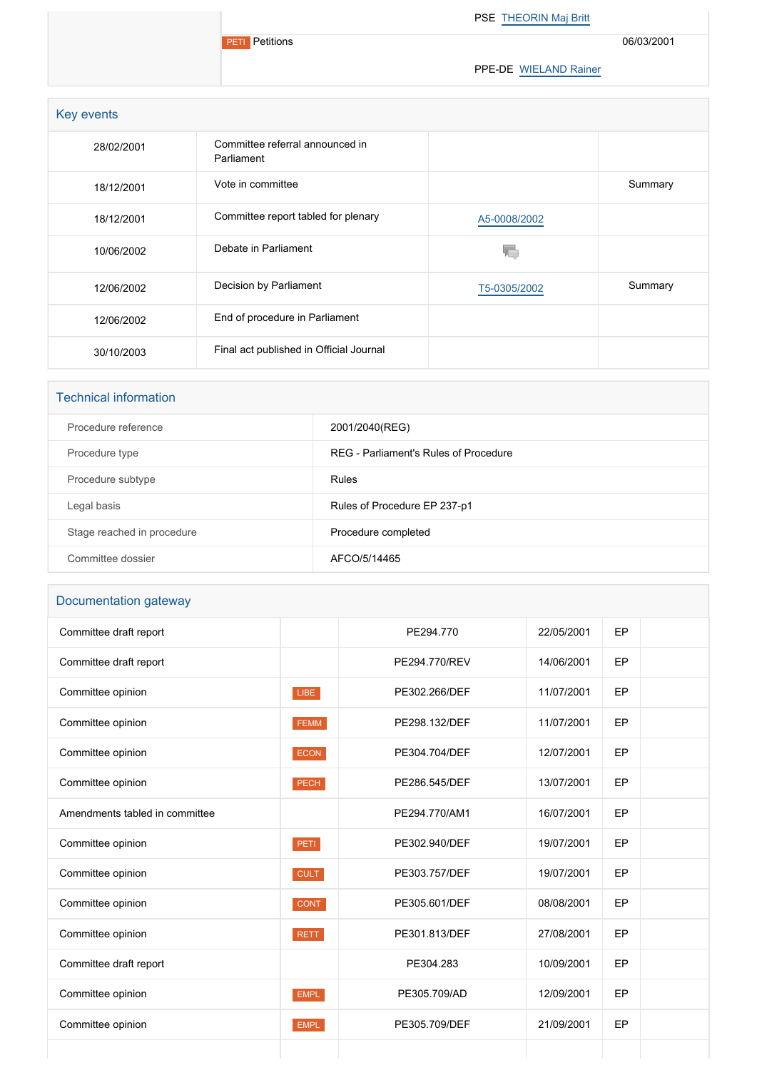**PETI** Petitions

PSE [THEORIN Maj Britt](http://www.europarl.europa.eu/meps/en/2149)

06/03/2001

PPE-DE [WIELAND Rainer](http://www.europarl.europa.eu/meps/en/2323)

| Key events |                                               |              |         |
|------------|-----------------------------------------------|--------------|---------|
| 28/02/2001 | Committee referral announced in<br>Parliament |              |         |
| 18/12/2001 | Vote in committee                             |              | Summary |
| 18/12/2001 | Committee report tabled for plenary           | A5-0008/2002 |         |
| 10/06/2002 | Debate in Parliament                          |              |         |
| 12/06/2002 | Decision by Parliament                        | T5-0305/2002 | Summary |
| 12/06/2002 | End of procedure in Parliament                |              |         |
| 30/10/2003 | Final act published in Official Journal       |              |         |

#### Technical information

| Procedure reference        | 2001/2040(REG)                        |
|----------------------------|---------------------------------------|
| Procedure type             | REG - Parliament's Rules of Procedure |
| Procedure subtype          | Rules                                 |
| Legal basis                | Rules of Procedure EP 237-p1          |
| Stage reached in procedure | Procedure completed                   |
| Committee dossier          | AFCO/5/14465                          |
|                            |                                       |

## Documentation gateway

| Committee draft report         |             | PE294.770     | 22/05/2001 | EP |  |
|--------------------------------|-------------|---------------|------------|----|--|
| Committee draft report         |             | PE294.770/REV | 14/06/2001 | EP |  |
| Committee opinion              | LIBE        | PE302.266/DEF | 11/07/2001 | EP |  |
| Committee opinion              | FEMM        | PE298.132/DEF | 11/07/2001 | EP |  |
| Committee opinion              | ECON        | PE304.704/DEF | 12/07/2001 | EP |  |
| Committee opinion              | <b>PECH</b> | PE286.545/DEF | 13/07/2001 | EP |  |
| Amendments tabled in committee |             | PE294.770/AM1 | 16/07/2001 | EP |  |
| Committee opinion              | PETI.       | PE302.940/DEF | 19/07/2001 | EP |  |
| Committee opinion              | <b>CULT</b> | PE303.757/DEF | 19/07/2001 | EP |  |
| Committee opinion              | <b>CONT</b> | PE305.601/DEF | 08/08/2001 | EP |  |
| Committee opinion              | <b>RETT</b> | PE301.813/DEF | 27/08/2001 | EP |  |
| Committee draft report         |             | PE304.283     | 10/09/2001 | EP |  |
| Committee opinion              | <b>EMPL</b> | PE305.709/AD  | 12/09/2001 | EP |  |
| Committee opinion              | <b>EMPL</b> | PE305.709/DEF | 21/09/2001 | EP |  |
|                                |             |               |            |    |  |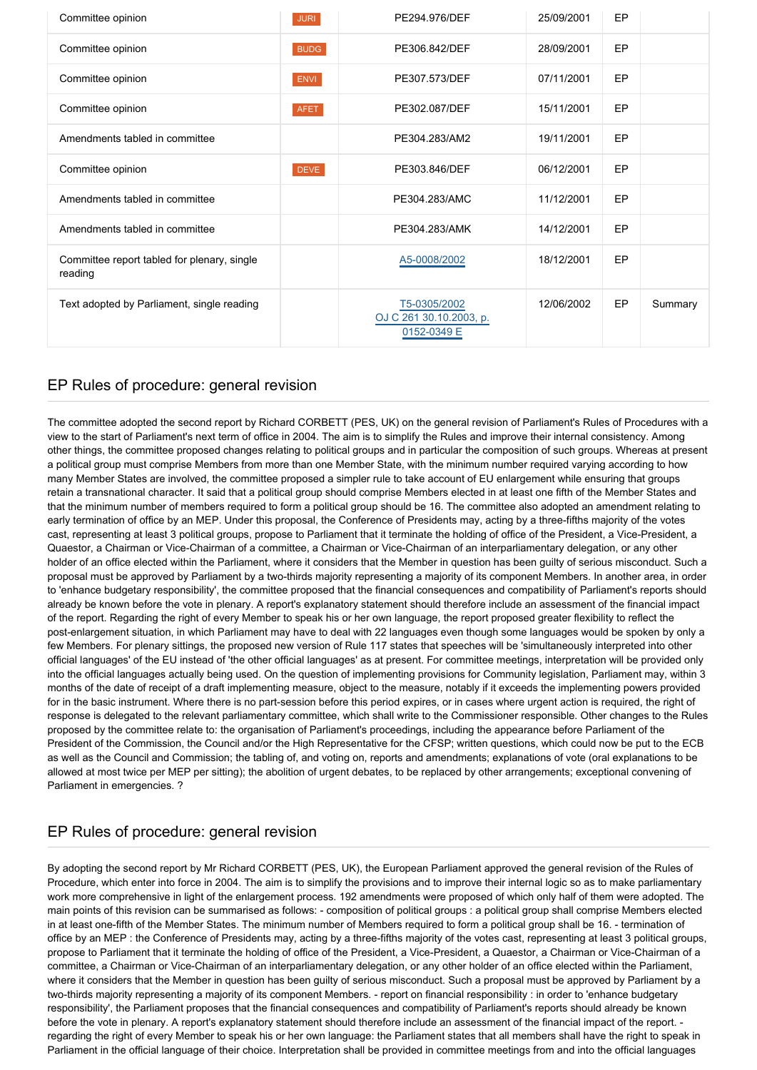| Committee opinion                                      | <b>JURI</b> | PE294.976/DEF                                          | 25/09/2001 | <b>EP</b> |         |
|--------------------------------------------------------|-------------|--------------------------------------------------------|------------|-----------|---------|
| Committee opinion                                      | <b>BUDG</b> | PE306.842/DEF                                          | 28/09/2001 | EP        |         |
| Committee opinion                                      | ENVI        | PE307.573/DEF                                          | 07/11/2001 | EP        |         |
| Committee opinion                                      | <b>AFET</b> | PE302.087/DEF                                          | 15/11/2001 | EP        |         |
| Amendments tabled in committee                         |             | PE304.283/AM2                                          | 19/11/2001 | EP        |         |
| Committee opinion                                      | <b>DEVE</b> | PE303.846/DEF                                          | 06/12/2001 | EP        |         |
| Amendments tabled in committee                         |             | PE304.283/AMC                                          | 11/12/2001 | EP        |         |
| Amendments tabled in committee                         |             | PE304.283/AMK                                          | 14/12/2001 | <b>EP</b> |         |
| Committee report tabled for plenary, single<br>reading |             | A5-0008/2002                                           | 18/12/2001 | EP        |         |
| Text adopted by Parliament, single reading             |             | T5-0305/2002<br>OJ C 261 30.10.2003, p.<br>0152-0349 E | 12/06/2002 | EP        | Summary |

#### EP Rules of procedure: general revision

The committee adopted the second report by Richard CORBETT (PES, UK) on the general revision of Parliament's Rules of Procedures with a view to the start of Parliament's next term of office in 2004. The aim is to simplify the Rules and improve their internal consistency. Among other things, the committee proposed changes relating to political groups and in particular the composition of such groups. Whereas at present a political group must comprise Members from more than one Member State, with the minimum number required varying according to how many Member States are involved, the committee proposed a simpler rule to take account of EU enlargement while ensuring that groups retain a transnational character. It said that a political group should comprise Members elected in at least one fifth of the Member States and that the minimum number of members required to form a political group should be 16. The committee also adopted an amendment relating to early termination of office by an MEP. Under this proposal, the Conference of Presidents may, acting by a three-fifths majority of the votes cast, representing at least 3 political groups, propose to Parliament that it terminate the holding of office of the President, a Vice-President, a Quaestor, a Chairman or Vice-Chairman of a committee, a Chairman or Vice-Chairman of an interparliamentary delegation, or any other holder of an office elected within the Parliament, where it considers that the Member in question has been guilty of serious misconduct. Such a proposal must be approved by Parliament by a two-thirds majority representing a majority of its component Members. In another area, in order to 'enhance budgetary responsibility', the committee proposed that the financial consequences and compatibility of Parliament's reports should already be known before the vote in plenary. A report's explanatory statement should therefore include an assessment of the financial impact of the report. Regarding the right of every Member to speak his or her own language, the report proposed greater flexibility to reflect the post-enlargement situation, in which Parliament may have to deal with 22 languages even though some languages would be spoken by only a few Members. For plenary sittings, the proposed new version of Rule 117 states that speeches will be 'simultaneously interpreted into other official languages' of the EU instead of 'the other official languages' as at present. For committee meetings, interpretation will be provided only into the official languages actually being used. On the question of implementing provisions for Community legislation, Parliament may, within 3 months of the date of receipt of a draft implementing measure, object to the measure, notably if it exceeds the implementing powers provided for in the basic instrument. Where there is no part-session before this period expires, or in cases where urgent action is required, the right of response is delegated to the relevant parliamentary committee, which shall write to the Commissioner responsible. Other changes to the Rules proposed by the committee relate to: the organisation of Parliament's proceedings, including the appearance before Parliament of the President of the Commission, the Council and/or the High Representative for the CFSP; written questions, which could now be put to the ECB as well as the Council and Commission; the tabling of, and voting on, reports and amendments; explanations of vote (oral explanations to be allowed at most twice per MEP per sitting); the abolition of urgent debates, to be replaced by other arrangements; exceptional convening of Parliament in emergencies. ?

### EP Rules of procedure: general revision

By adopting the second report by Mr Richard CORBETT (PES, UK), the European Parliament approved the general revision of the Rules of Procedure, which enter into force in 2004. The aim is to simplify the provisions and to improve their internal logic so as to make parliamentary work more comprehensive in light of the enlargement process. 192 amendments were proposed of which only half of them were adopted. The main points of this revision can be summarised as follows: - composition of political groups : a political group shall comprise Members elected in at least one-fifth of the Member States. The minimum number of Members required to form a political group shall be 16. - termination of office by an MEP : the Conference of Presidents may, acting by a three-fifths majority of the votes cast, representing at least 3 political groups, propose to Parliament that it terminate the holding of office of the President, a Vice-President, a Quaestor, a Chairman or Vice-Chairman of a committee, a Chairman or Vice-Chairman of an interparliamentary delegation, or any other holder of an office elected within the Parliament, where it considers that the Member in question has been guilty of serious misconduct. Such a proposal must be approved by Parliament by a two-thirds majority representing a majority of its component Members. - report on financial responsibility : in order to 'enhance budgetary responsibility', the Parliament proposes that the financial consequences and compatibility of Parliament's reports should already be known before the vote in plenary. A report's explanatory statement should therefore include an assessment of the financial impact of the report. regarding the right of every Member to speak his or her own language: the Parliament states that all members shall have the right to speak in Parliament in the official language of their choice. Interpretation shall be provided in committee meetings from and into the official languages